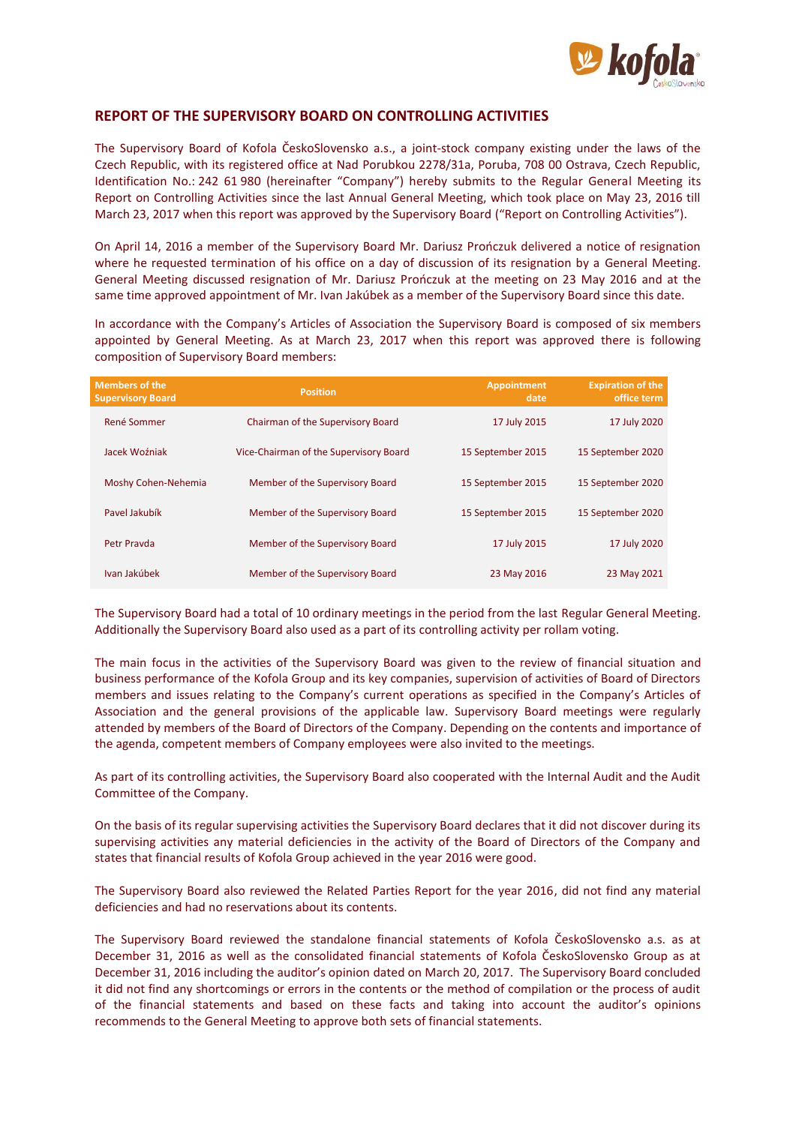

## **REPORT OF THE SUPERVISORY BOARD ON CONTROLLING ACTIVITIES**

The Supervisory Board of Kofola ČeskoSlovensko a.s., a joint-stock company existing under the laws of the Czech Republic, with its registered office at Nad Porubkou 2278/31a, Poruba, 708 00 Ostrava, Czech Republic, Identification No.: 242 61 980 (hereinafter "Company") hereby submits to the Regular General Meeting its Report on Controlling Activities since the last Annual General Meeting, which took place on May 23, 2016 till March 23, 2017 when this report was approved by the Supervisory Board ("Report on Controlling Activities").

On April 14, 2016 a member of the Supervisory Board Mr. Dariusz Prończuk delivered a notice of resignation where he requested termination of his office on a day of discussion of its resignation by a General Meeting. General Meeting discussed resignation of Mr. Dariusz Prończuk at the meeting on 23 May 2016 and at the same time approved appointment of Mr. Ivan Jakúbek as a member of the Supervisory Board since this date.

In accordance with the Company's Articles of Association the Supervisory Board is composed of six members appointed by General Meeting. As at March 23, 2017 when this report was approved there is following composition of Supervisory Board members:

| <b>Members of the</b><br><b>Supervisory Board</b> | <b>Position</b>                        | <b>Appointment</b><br>date | <b>Expiration of the</b><br>office term |
|---------------------------------------------------|----------------------------------------|----------------------------|-----------------------------------------|
| René Sommer                                       | Chairman of the Supervisory Board      | 17 July 2015               | 17 July 2020                            |
| Jacek Woźniak                                     | Vice-Chairman of the Supervisory Board | 15 September 2015          | 15 September 2020                       |
| Moshy Cohen-Nehemia                               | Member of the Supervisory Board        | 15 September 2015          | 15 September 2020                       |
| Pavel Jakubík                                     | Member of the Supervisory Board        | 15 September 2015          | 15 September 2020                       |
| Petr Prayda                                       | Member of the Supervisory Board        | 17 July 2015               | 17 July 2020                            |
| Ivan Jakúbek                                      | Member of the Supervisory Board        | 23 May 2016                | 23 May 2021                             |

The Supervisory Board had a total of 10 ordinary meetings in the period from the last Regular General Meeting. Additionally the Supervisory Board also used as a part of its controlling activity per rollam voting.

The main focus in the activities of the Supervisory Board was given to the review of financial situation and business performance of the Kofola Group and its key companies, supervision of activities of Board of Directors members and issues relating to the Company's current operations as specified in the Company's Articles of Association and the general provisions of the applicable law. Supervisory Board meetings were regularly attended by members of the Board of Directors of the Company. Depending on the contents and importance of the agenda, competent members of Company employees were also invited to the meetings.

As part of its controlling activities, the Supervisory Board also cooperated with the Internal Audit and the Audit Committee of the Company.

On the basis of its regular supervising activities the Supervisory Board declares that it did not discover during its supervising activities any material deficiencies in the activity of the Board of Directors of the Company and states that financial results of Kofola Group achieved in the year 2016 were good.

The Supervisory Board also reviewed the Related Parties Report for the year 2016, did not find any material deficiencies and had no reservations about its contents.

The Supervisory Board reviewed the standalone financial statements of Kofola ČeskoSlovensko a.s. as at December 31, 2016 as well as the consolidated financial statements of Kofola ČeskoSlovensko Group as at December 31, 2016 including the auditor's opinion dated on March 20, 2017. The Supervisory Board concluded it did not find any shortcomings or errors in the contents or the method of compilation or the process of audit of the financial statements and based on these facts and taking into account the auditor's opinions recommends to the General Meeting to approve both sets of financial statements.